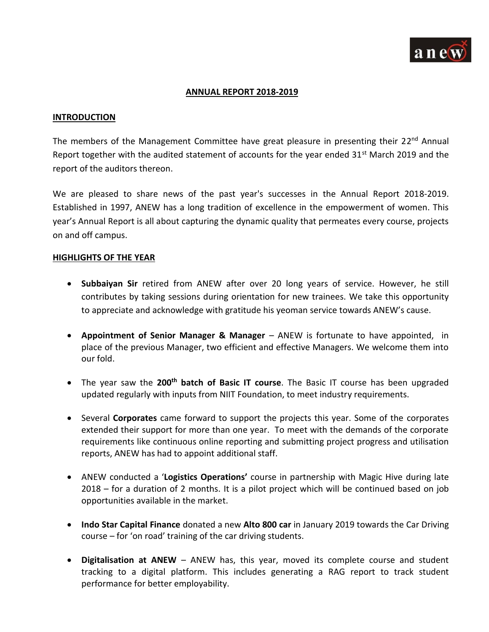

### **ANNUAL REPORT 2018-2019**

#### **INTRODUCTION**

The members of the Management Committee have great pleasure in presenting their 22<sup>nd</sup> Annual Report together with the audited statement of accounts for the year ended  $31<sup>st</sup>$  March 2019 and the report of the auditors thereon.

We are pleased to share news of the past year's successes in the Annual Report 2018-2019. Established in 1997, ANEW has a long tradition of excellence in the empowerment of women. This year's Annual Report is all about capturing the dynamic quality that permeates every course, projects on and off campus.

#### **HIGHLIGHTS OF THE YEAR**

- **Subbaiyan Sir** retired from ANEW after over 20 long years of service. However, he still contributes by taking sessions during orientation for new trainees. We take this opportunity to appreciate and acknowledge with gratitude his yeoman service towards ANEW's cause.
- **Appointment of Senior Manager & Manager** ANEW is fortunate to have appointed, in place of the previous Manager, two efficient and effective Managers. We welcome them into our fold.
- The year saw the **200th batch of Basic IT course**. The Basic IT course has been upgraded updated regularly with inputs from NIIT Foundation, to meet industry requirements.
- Several **Corporates** came forward to support the projects this year. Some of the corporates extended their support for more than one year. To meet with the demands of the corporate requirements like continuous online reporting and submitting project progress and utilisation reports, ANEW has had to appoint additional staff.
- ANEW conducted a '**Logistics Operations'** course in partnership with Magic Hive during late 2018 – for a duration of 2 months. It is a pilot project which will be continued based on job opportunities available in the market.
- **Indo Star Capital Finance** donated a new **Alto 800 car** in January 2019 towards the Car Driving course – for 'on road' training of the car driving students.
- **Digitalisation at ANEW** ANEW has, this year, moved its complete course and student tracking to a digital platform. This includes generating a RAG report to track student performance for better employability.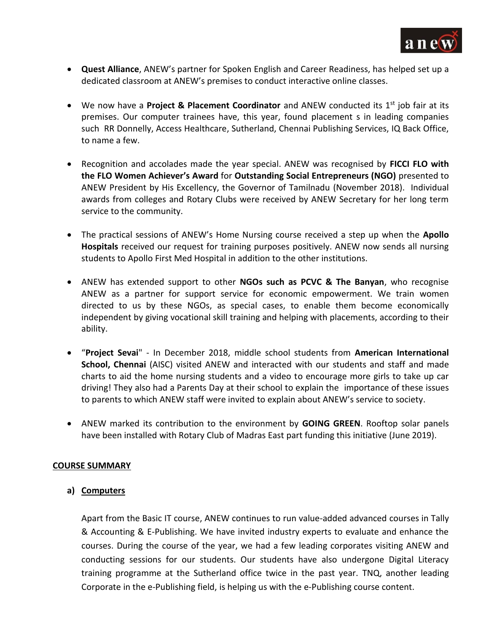

- **Quest Alliance**, ANEW's partner for Spoken English and Career Readiness, has helped set up a dedicated classroom at ANEW's premises to conduct interactive online classes.
- We now have a **Project & Placement Coordinator** and ANEW conducted its 1<sup>st</sup> job fair at its premises. Our computer trainees have, this year, found placement s in leading companies such RR Donnelly, Access Healthcare, Sutherland, Chennai Publishing Services, IQ Back Office, to name a few.
- Recognition and accolades made the year special. ANEW was recognised by **FICCI FLO with the FLO Women Achiever's Award** for **Outstanding Social Entrepreneurs (NGO)** presented to ANEW President by His Excellency, the Governor of Tamilnadu (November 2018). Individual awards from colleges and Rotary Clubs were received by ANEW Secretary for her long term service to the community.
- The practical sessions of ANEW's Home Nursing course received a step up when the **Apollo Hospitals** received our request for training purposes positively. ANEW now sends all nursing students to Apollo First Med Hospital in addition to the other institutions.
- ANEW has extended support to other **NGOs such as PCVC & The Banyan**, who recognise ANEW as a partner for support service for economic empowerment. We train women directed to us by these NGOs, as special cases, to enable them become economically independent by giving vocational skill training and helping with placements, according to their ability.
- "**Project Sevai**" In December 2018, middle school students from **American International School, Chennai** (AISC) visited ANEW and interacted with our students and staff and made charts to aid the home nursing students and a video to encourage more girls to take up car driving! They also had a Parents Day at their school to explain the importance of these issues to parents to which ANEW staff were invited to explain about ANEW's service to society.
- ANEW marked its contribution to the environment by **GOING GREEN**. Rooftop solar panels have been installed with Rotary Club of Madras East part funding this initiative (June 2019).

# **COURSE SUMMARY**

# **a) Computers**

Apart from the Basic IT course, ANEW continues to run value-added advanced courses in Tally & Accounting & E-Publishing. We have invited industry experts to evaluate and enhance the courses. During the course of the year, we had a few leading corporates visiting ANEW and conducting sessions for our students. Our students have also undergone Digital Literacy training programme at the Sutherland office twice in the past year. TNQ, another leading Corporate in the e-Publishing field, is helping us with the e-Publishing course content.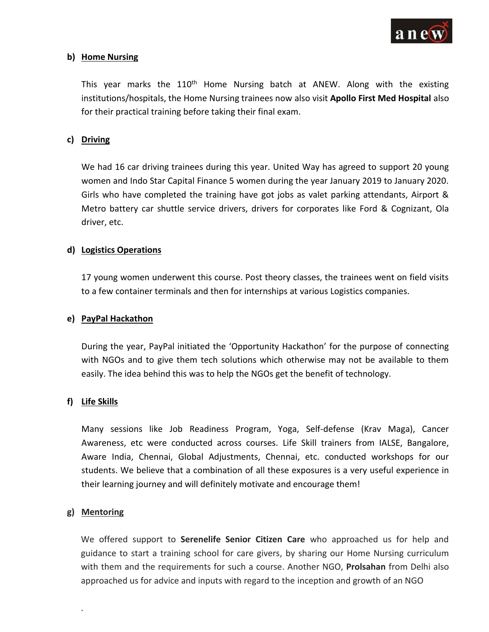

# **b) Home Nursing**

This year marks the 110<sup>th</sup> Home Nursing batch at ANEW. Along with the existing institutions/hospitals, the Home Nursing trainees now also visit **Apollo First Med Hospital** also for their practical training before taking their final exam.

### **c) Driving**

We had 16 car driving trainees during this year. United Way has agreed to support 20 young women and Indo Star Capital Finance 5 women during the year January 2019 to January 2020. Girls who have completed the training have got jobs as valet parking attendants, Airport & Metro battery car shuttle service drivers, drivers for corporates like Ford & Cognizant, Ola driver, etc.

## **d) Logistics Operations**

17 young women underwent this course. Post theory classes, the trainees went on field visits to a few container terminals and then for internships at various Logistics companies.

### **e) PayPal Hackathon**

During the year, PayPal initiated the 'Opportunity Hackathon' for the purpose of connecting with NGOs and to give them tech solutions which otherwise may not be available to them easily. The idea behind this was to help the NGOs get the benefit of technology.

# **f) Life Skills**

Many sessions like Job Readiness Program, Yoga, Self-defense (Krav Maga), Cancer Awareness, etc were conducted across courses. Life Skill trainers from IALSE, Bangalore, Aware India, Chennai, Global Adjustments, Chennai, etc. conducted workshops for our students. We believe that a combination of all these exposures is a very useful experience in their learning journey and will definitely motivate and encourage them!

#### **g) Mentoring**

.

We offered support to **Serenelife Senior Citizen Care** who approached us for help and guidance to start a training school for care givers, by sharing our Home Nursing curriculum with them and the requirements for such a course. Another NGO, **Prolsahan** from Delhi also approached us for advice and inputs with regard to the inception and growth of an NGO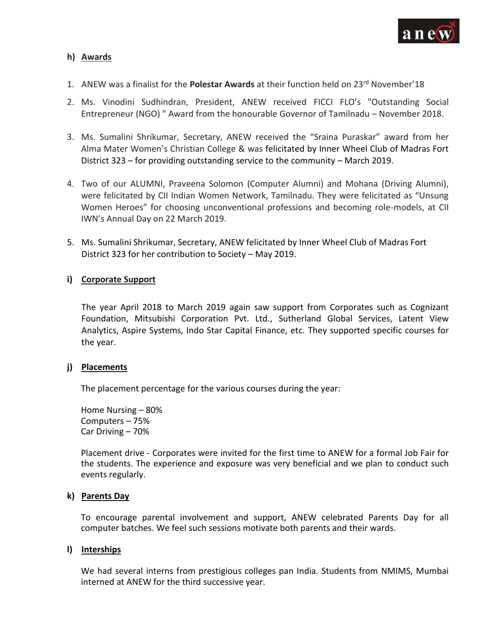

## **h) Awards**

- 1. ANEW was a finalist for the **Polestar Awards** at their function held on 23rd November'18
- 2. Ms. Vinodini Sudhindran, President, ANEW received FICCI FLO's "Outstanding Social Entrepreneur (NGO) " Award from the honourable Governor of Tamilnadu – November 2018.
- 3. Ms. Sumalini Shrikumar, Secretary, ANEW received the "Sraina Puraskar" award from her Alma Mater Women's Christian College & was felicitated by Inner Wheel Club of Madras Fort District 323 – for providing outstanding service to the community – March 2019.
- 4. Two of our ALUMNI, Praveena Solomon (Computer Alumni) and Mohana (Driving Alumni), were felicitated by CII Indian Women Network, Tamilnadu. They were felicitated as "Unsung Women Heroes" for choosing unconventional professions and becoming role-models, at CII IWN's Annual Day on 22 March 2019.
- 5. Ms. Sumalini Shrikumar, Secretary, ANEW felicitated by Inner Wheel Club of Madras Fort District 323 for her contribution to Society – May 2019.

## **i) Corporate Support**

The year April 2018 to March 2019 again saw support from Corporates such as Cognizant Foundation, Mitsubishi Corporation Pvt. Ltd., Sutherland Global Services, Latent View Analytics, Aspire Systems, Indo Star Capital Finance, etc. They supported specific courses for the year.

#### **j) Placements**

The placement percentage for the various courses during the year:

Home Nursing – 80% Computers – 75% Car Driving – 70%

Placement drive - Corporates were invited for the first time to ANEW for a formal Job Fair for the students. The experience and exposure was very beneficial and we plan to conduct such events regularly.

#### **k) Parents Day**

To encourage parental involvement and support, ANEW celebrated Parents Day for all computer batches. We feel such sessions motivate both parents and their wards.

#### **l) Interships**

We had several interns from prestigious colleges pan India. Students from NMIMS, Mumbai interned at ANEW for the third successive year.